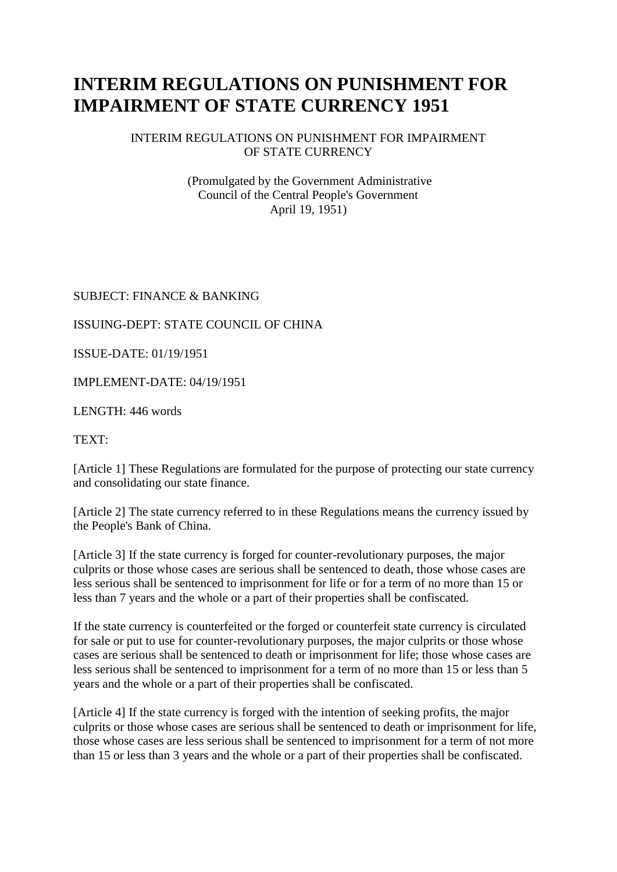# **INTERIM REGULATIONS ON PUNISHMENT FOR IMPAIRMENT OF STATE CURRENCY 1951**

#### INTERIM REGULATIONS ON PUNISHMENT FOR IMPAIRMENT OF STATE CURRENCY

(Promulgated by the Government Administrative Council of the Central People's Government April 19, 1951)

# SUBJECT: FINANCE & BANKING

# ISSUING-DEPT: STATE COUNCIL OF CHINA

ISSUE-DATE: 01/19/1951

IMPLEMENT-DATE: 04/19/1951

LENGTH: 446 words

TEXT:

[Article 1] These Regulations are formulated for the purpose of protecting our state currency and consolidating our state finance.

[Article 2] The state currency referred to in these Regulations means the currency issued by the People's Bank of China.

[Article 3] If the state currency is forged for counter-revolutionary purposes, the major culprits or those whose cases are serious shall be sentenced to death, those whose cases are less serious shall be sentenced to imprisonment for life or for a term of no more than 15 or less than 7 years and the whole or a part of their properties shall be confiscated.

If the state currency is counterfeited or the forged or counterfeit state currency is circulated for sale or put to use for counter-revolutionary purposes, the major culprits or those whose cases are serious shall be sentenced to death or imprisonment for life; those whose cases are less serious shall be sentenced to imprisonment for a term of no more than 15 or less than 5 years and the whole or a part of their properties shall be confiscated.

[Article 4] If the state currency is forged with the intention of seeking profits, the major culprits or those whose cases are serious shall be sentenced to death or imprisonment for life, those whose cases are less serious shall be sentenced to imprisonment for a term of not more than 15 or less than 3 years and the whole or a part of their properties shall be confiscated.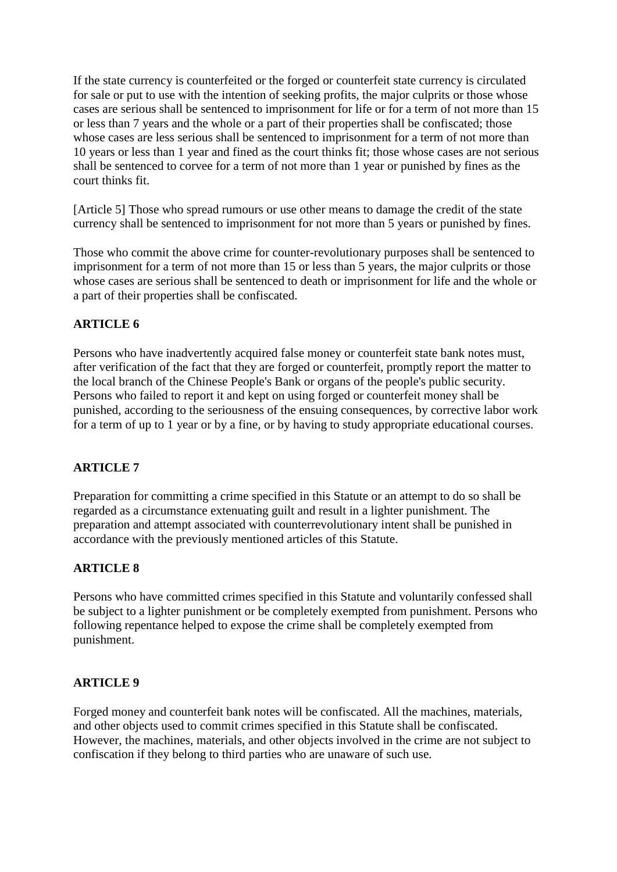If the state currency is counterfeited or the forged or counterfeit state currency is circulated for sale or put to use with the intention of seeking profits, the major culprits or those whose cases are serious shall be sentenced to imprisonment for life or for a term of not more than 15 or less than 7 years and the whole or a part of their properties shall be confiscated; those whose cases are less serious shall be sentenced to imprisonment for a term of not more than 10 years or less than 1 year and fined as the court thinks fit; those whose cases are not serious shall be sentenced to corvee for a term of not more than 1 year or punished by fines as the court thinks fit.

[Article 5] Those who spread rumours or use other means to damage the credit of the state currency shall be sentenced to imprisonment for not more than 5 years or punished by fines.

Those who commit the above crime for counter-revolutionary purposes shall be sentenced to imprisonment for a term of not more than 15 or less than 5 years, the major culprits or those whose cases are serious shall be sentenced to death or imprisonment for life and the whole or a part of their properties shall be confiscated.

# **ARTICLE 6**

Persons who have inadvertently acquired false money or counterfeit state bank notes must, after verification of the fact that they are forged or counterfeit, promptly report the matter to the local branch of the Chinese People's Bank or organs of the people's public security. Persons who failed to report it and kept on using forged or counterfeit money shall be punished, according to the seriousness of the ensuing consequences, by corrective labor work for a term of up to 1 year or by a fine, or by having to study appropriate educational courses.

### **ARTICLE 7**

Preparation for committing a crime specified in this Statute or an attempt to do so shall be regarded as a circumstance extenuating guilt and result in a lighter punishment. The preparation and attempt associated with counterrevolutionary intent shall be punished in accordance with the previously mentioned articles of this Statute.

### **ARTICLE 8**

Persons who have committed crimes specified in this Statute and voluntarily confessed shall be subject to a lighter punishment or be completely exempted from punishment. Persons who following repentance helped to expose the crime shall be completely exempted from punishment.

#### **ARTICLE 9**

Forged money and counterfeit bank notes will be confiscated. All the machines, materials, and other objects used to commit crimes specified in this Statute shall be confiscated. However, the machines, materials, and other objects involved in the crime are not subject to confiscation if they belong to third parties who are unaware of such use.